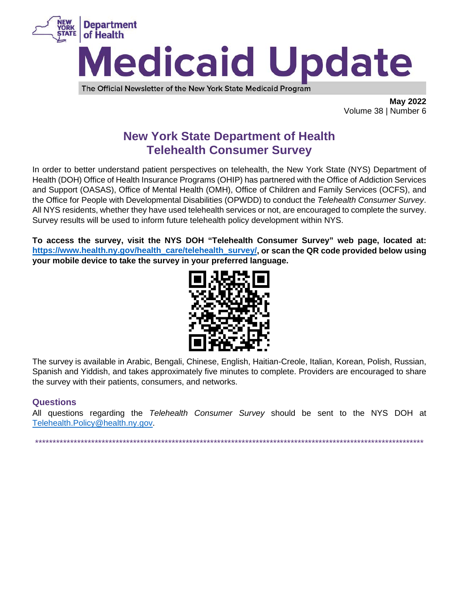

The Official Newsletter of the New York State Medicaid Program

**May 2022** Volume 38 | Number 6

# **New York State Department of Health Telehealth Consumer Survey**

In order to better understand patient perspectives on telehealth, the New York State (NYS) Department of Health (DOH) Office of Health Insurance Programs (OHIP) has partnered with the Office of Addiction Services and Support (OASAS), Office of Mental Health (OMH), Office of Children and Family Services (OCFS), and the Office for People with Developmental Disabilities (OPWDD) to conduct the Telehealth Consumer Survey. All NYS residents, whether they have used telehealth services or not, are encouraged to complete the survey. Survey results will be used to inform future telehealth policy development within NYS.

To access the survey, visit the NYS DOH "Telehealth Consumer Survey" web page, located at: https://www.health.ny.gov/health\_care/telehealth\_survey/, or scan the QR code provided below using your mobile device to take the survey in your preferred language.



The survey is available in Arabic, Bengali, Chinese, English, Haitian-Creole, Italian, Korean, Polish, Russian, Spanish and Yiddish, and takes approximately five minutes to complete. Providers are encouraged to share the survey with their patients, consumers, and networks.

## **Questions**

All questions regarding the Telehealth Consumer Survey should be sent to the NYS DOH at Telehealth.Policy@health.nv.gov.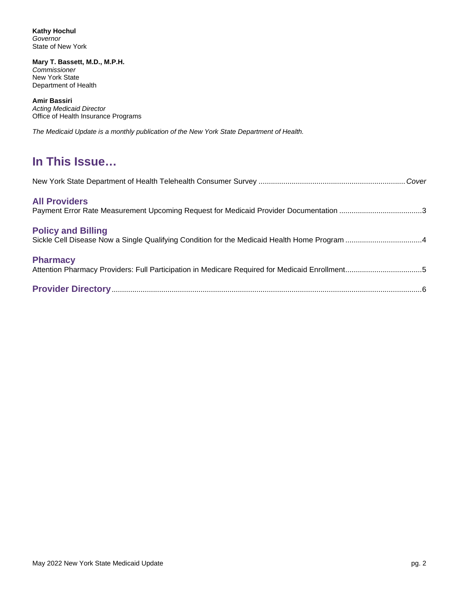**Kathy Hochul** *Governor* State of New York

**Mary T. Bassett, M.D., M.P.H.** *Commissioner* New York State Department of Health

**Amir Bassiri** *Acting Medicaid Director* Office of Health Insurance Programs

*The Medicaid Update is a monthly publication of the New York State Department of Health.*

# **In This Issue…**

| <b>All Providers</b><br>Payment Error Rate Measurement Upcoming Request for Medicaid Provider Documentation 3             |  |
|---------------------------------------------------------------------------------------------------------------------------|--|
| <b>Policy and Billing</b><br>Sickle Cell Disease Now a Single Qualifying Condition for the Medicaid Health Home Program 4 |  |
| <b>Pharmacy</b><br>Attention Pharmacy Providers: Full Participation in Medicare Required for Medicaid Enrollment5         |  |
|                                                                                                                           |  |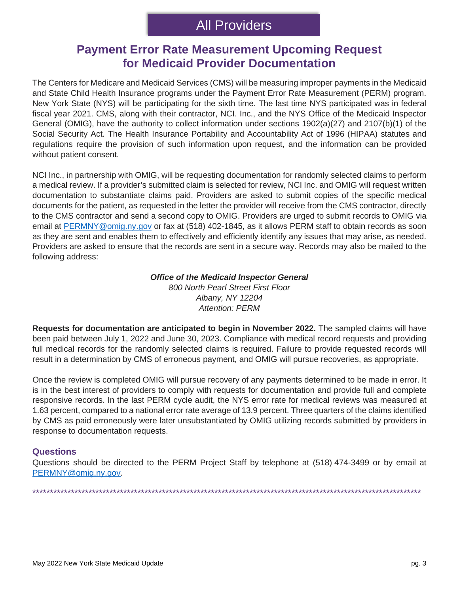## **Payment Error Rate Measurement Upcoming Request for Medicaid Provider Documentation**

The Centers for Medicare and Medicaid Services (CMS) will be measuring improper payments in the Medicaid and State Child Health Insurance programs under the Payment Error Rate Measurement (PERM) program. New York State (NYS) will be participating for the sixth time. The last time NYS participated was in federal fiscal year 2021. CMS, along with their contractor, NCI. Inc., and the NYS Office of the Medicaid Inspector General (OMIG), have the authority to collect information under sections 1902(a)(27) and 2107(b)(1) of the Social Security Act. The Health Insurance Portability and Accountability Act of 1996 (HIPAA) statutes and regulations require the provision of such information upon request, and the information can be provided without patient consent.

NCI Inc., in partnership with OMIG, will be requesting documentation for randomly selected claims to perform a medical review. If a provider's submitted claim is selected for review, NCI Inc. and OMIG will request written documentation to substantiate claims paid. Providers are asked to submit copies of the specific medical documents for the patient, as requested in the letter the provider will receive from the CMS contractor, directly to the CMS contractor and send a second copy to OMIG. Providers are urged to submit records to OMIG via email at [PERMNY@omig.ny.gov](mailto:PERMNY@omig.ny.gov) or fax at (518) 402-1845, as it allows PERM staff to obtain records as soon as they are sent and enables them to effectively and efficiently identify any issues that may arise, as needed. Providers are asked to ensure that the records are sent in a secure way. Records may also be mailed to the following address:

## *Office of the Medicaid Inspector General*

*800 North Pearl Street First Floor Albany, NY 12204 Attention: PERM*

**Requests for documentation are anticipated to begin in November 2022.** The sampled claims will have been paid between July 1, 2022 and June 30, 2023. Compliance with medical record requests and providing full medical records for the randomly selected claims is required. Failure to provide requested records will result in a determination by CMS of erroneous payment, and OMIG will pursue recoveries, as appropriate.

Once the review is completed OMIG will pursue recovery of any payments determined to be made in error. It is in the best interest of providers to comply with requests for documentation and provide full and complete responsive records. In the last PERM cycle audit, the NYS error rate for medical reviews was measured at 1.63 percent, compared to a national error rate average of 13.9 percent. Three quarters of the claims identified by CMS as paid erroneously were later unsubstantiated by OMIG utilizing records submitted by providers in response to documentation requests.

## **Questions**

Questions should be directed to the PERM Project Staff by telephone at (518) 474-3499 or by email at [PERMNY@omig.ny.gov.](mailto:PERMNY@omig.ny.gov)

\*\*\*\*\*\*\*\*\*\*\*\*\*\*\*\*\*\*\*\*\*\*\*\*\*\*\*\*\*\*\*\*\*\*\*\*\*\*\*\*\*\*\*\*\*\*\*\*\*\*\*\*\*\*\*\*\*\*\*\*\*\*\*\*\*\*\*\*\*\*\*\*\*\*\*\*\*\*\*\*\*\*\*\*\*\*\*\*\*\*\*\*\*\*\*\*\*\*\*\*\*\*\*\*\*\*\*\*\*\*\*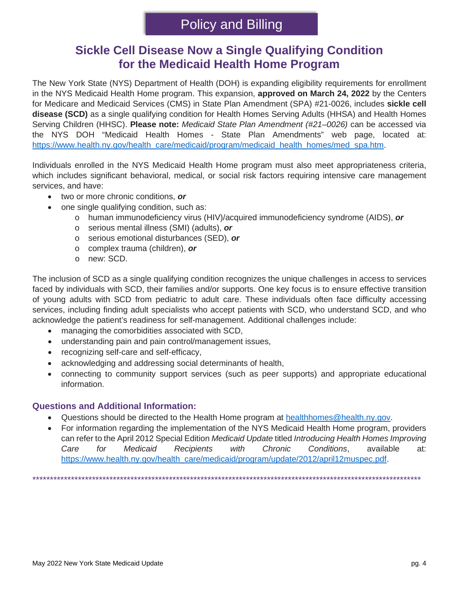## **Sickle Cell Disease Now a Single Qualifying Condition for the Medicaid Health Home Program**

The New York State (NYS) Department of Health (DOH) is expanding eligibility requirements for enrollment in the NYS Medicaid Health Home program. This expansion, **approved on March 24, 2022** by the Centers for Medicare and Medicaid Services (CMS) in State Plan Amendment (SPA) #21-0026, includes **sickle cell disease (SCD)** as a single qualifying condition for Health Homes Serving Adults (HHSA) and Health Homes Serving Children (HHSC). **Please note:** *Medicaid State Plan Amendment (#21–0026)* can be accessed via the NYS DOH "Medicaid Health Homes - State Plan Amendments" web page, located at: [https://www.health.ny.gov/health\\_care/medicaid/program/medicaid\\_health\\_homes/med\\_spa.htm.](https://www.health.ny.gov/health_care/medicaid/program/medicaid_health_homes/med_spa.htm)

Individuals enrolled in the NYS Medicaid Health Home program must also meet appropriateness criteria, which includes significant behavioral, medical, or social risk factors requiring intensive care management services, and have:

- two or more chronic conditions, *or*
	- one single qualifying condition, such as:
		- o human immunodeficiency virus (HIV)/acquired immunodeficiency syndrome (AIDS), *or*
		- o serious mental illness (SMI) (adults), *or*
		- o serious emotional disturbances (SED), *or*
		- o complex trauma (children), *or*
		- o new: SCD.

The inclusion of SCD as a single qualifying condition recognizes the unique challenges in access to services faced by individuals with SCD, their families and/or supports. One key focus is to ensure effective transition of young adults with SCD from pediatric to adult care. These individuals often face difficulty accessing services, including finding adult specialists who accept patients with SCD, who understand SCD, and who acknowledge the patient's readiness for self-management. Additional challenges include:

- managing the comorbidities associated with SCD,
- understanding pain and pain control/management issues,
- recognizing self-care and self-efficacy,
- acknowledging and addressing social determinants of health,
- connecting to community support services (such as peer supports) and appropriate educational information.

## **Questions and Additional Information:**

- Questions should be directed to the Health Home program at [healthhomes@health.ny.gov.](mailto:healthhomes@health.ny.gov)
- For information regarding the implementation of the NYS Medicaid Health Home program, providers can refer to the April 2012 Special Edition *Medicaid Update* titled *Introducing Health Homes Improving Care for Medicaid Recipients with Chronic Conditions*, available at: [https://www.health.ny.gov/health\\_care/medicaid/program/update/2012/april12muspec.pdf.](https://www.health.ny.gov/health_care/medicaid/program/update/2012/april12muspec.pdf)

\*\*\*\*\*\*\*\*\*\*\*\*\*\*\*\*\*\*\*\*\*\*\*\*\*\*\*\*\*\*\*\*\*\*\*\*\*\*\*\*\*\*\*\*\*\*\*\*\*\*\*\*\*\*\*\*\*\*\*\*\*\*\*\*\*\*\*\*\*\*\*\*\*\*\*\*\*\*\*\*\*\*\*\*\*\*\*\*\*\*\*\*\*\*\*\*\*\*\*\*\*\*\*\*\*\*\*\*\*\*\*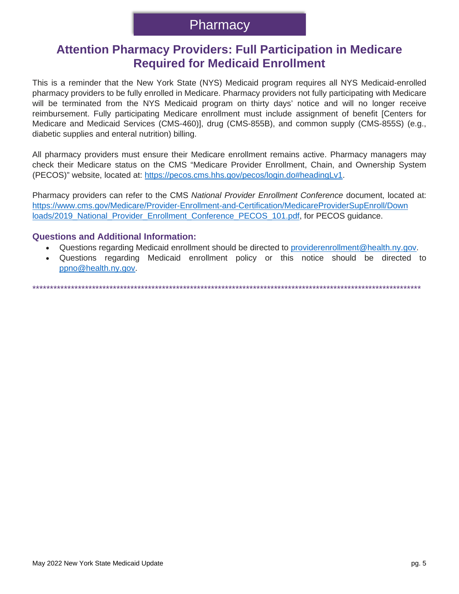## **Attention Pharmacy Providers: Full Participation in Medicare Required for Medicaid Enrollment**

This is a reminder that the New York State (NYS) Medicaid program requires all NYS Medicaid-enrolled pharmacy providers to be fully enrolled in Medicare. Pharmacy providers not fully participating with Medicare will be terminated from the NYS Medicaid program on thirty days' notice and will no longer receive reimbursement. Fully participating Medicare enrollment must include assignment of benefit [Centers for Medicare and Medicaid Services (CMS-460)], drug (CMS-855B), and common supply (CMS-855S) (e.g., diabetic supplies and enteral nutrition) billing.

All pharmacy providers must ensure their Medicare enrollment remains active. Pharmacy managers may check their Medicare status on the CMS "Medicare Provider Enrollment, Chain, and Ownership System (PECOS)" website, located at: https://pecos.cms.hhs.gov/pecos/login.do#headingLv1.

Pharmacy providers can refer to the CMS National Provider Enrollment Conference document, located at: https://www.cms.gov/Medicare/Provider-Enrollment-and-Certification/MedicareProviderSupEnroll/Down loads/2019 National Provider Enrollment Conference PECOS 101.pdf, for PECOS guidance.

## **Questions and Additional Information:**

- Questions regarding Medicaid enrollment should be directed to providerenrollment@health.ny.gov.  $\bullet$
- $\bullet$ Questions regarding Medicaid enrollment policy or this notice should be directed to ppno@health.ny.gov.